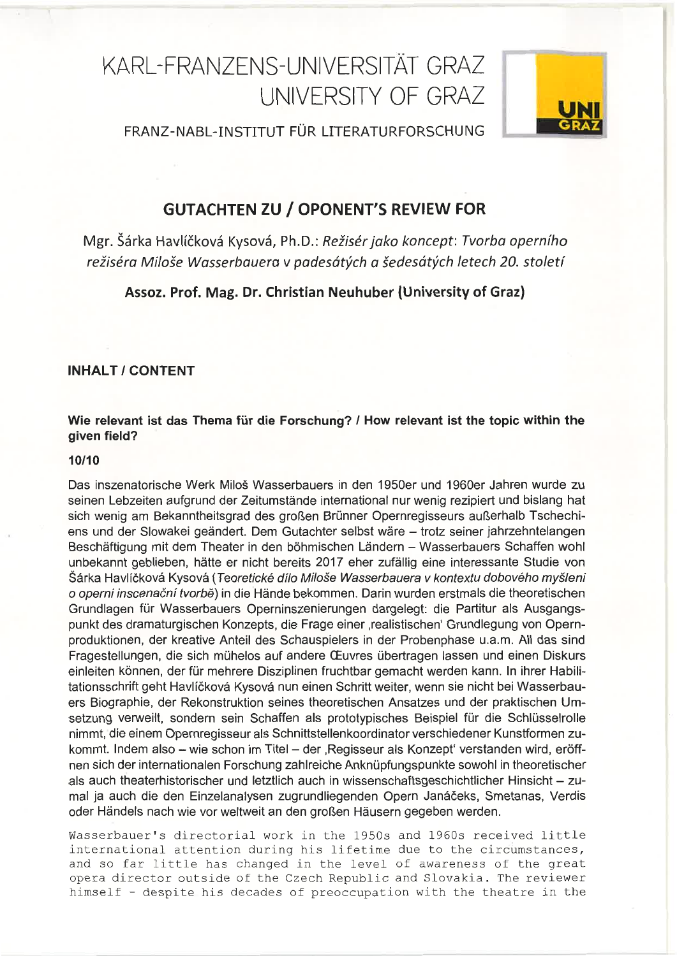# KARL-FRANZENS-UNIVERSITÄT GRAZ UNIVERSITY OF GRAZ



FRANZ-NABL-INSTITUT FÜR LITERATURFORSCHUNG

## **GUTACHTEN ZU / OPONENT'S REVIEW FOR**

Mgr. Šárka Havlíčková Kysová, Ph.D.: Režisér jako koncept: Tvorba operního režiséra Miloše Wasserbauera v padesátých a šedesátých letech 20. století

Assoz. Prof. Mag. Dr. Christian Neuhuber (University of Graz)

## INHALT / CONTENT

## Wie relevant ist das Thema für die Forschung? / How relevant ist the topic within the given field?

## 10/f0

Das inszenatorische Werk Miloö Wasserbauers in den 1950er und 1960er Jahren wurde zu seinen Lebzeiten aufgrund der Zeitumstände international nur wenig rezipiert und bislang hat sich wenig am Bekanntheitsgrad des großen Brünner Opernregisseurs außerhalb Tschechiens und der Slowakei geändert. Dem Gutachter selbst wäre - trotz seiner jahrzehntelangen Beschäftigung mit dem Theater in den böhmischen Ländern - Wasserbauers Schaffen wohl unbekannt geblieben, hätte er nicht bereits 2017 eher zufällig eine interessante Studie von Šárka Havlíčková Kysová (Teoretické dílo Miloše Wasserbauera v kontextu dobového myšleni o operni inscenační tvorbě) in die Hände bekommen. Darin wurden erstmals die theoretischen Grundlagen für Wasserbauers Operninszenierungen dargelegt: die Partitur als Ausgangspunkt des dramaturgischen Konzepts, die Frage einer ,realistischen' Grundlegung von Opernproduktionen, der kreative Anteil des Schauspielers in der Probenphase u.a.m. All das sind Fragestellungen, die sich mühelos auf andere CEuvres übertragen lassen und einen Diskurs einleiten können, der für mehrere Disziplinen fruchtbar gemacht werden kann. ln ihrer Habilitationsschrift geht Havliökovä Kysovä nun einen Schritt weiter, wenn sie nicht bei Wasserbauers Biographie, der Rekonstruktion seines theoretischen Ansatzes und der praktischen Umsetzung veruveilt, sondern sein Schaffen als prototypisches Beispiel für die Schlüsselrolle nimmt, die einem Opernregisseur als Schnittstellenkoordinator verschiedener Kunstformen zukommt. Indem also - wie schon im Titel - der , Regisseur als Konzept' verstanden wird, eröffnen sich der internationalen Forschung zahlreiche Anknüpfungspunkte sowohl in theoretischer als auch theaterhistorischer und letztlich auch in wissenschaftsgeschichtlicher Hinsicht - zumal ja auch die den Einzelanalysen zugrundliegenden Opern Janäöeks, Smetanas, Verdis oder Händels nach wie vor weltweit an den großen Häusern gegeben werden.

Wasserbauer's directorial work in the 1950s and 1960s received little international attention during his lifetime due to the circumstances, and so far little has changed in the level of awareness of the great opera director outside of the Czech Republic and Slovakia. The reviewer himself - despite his decades of preoccupation with the theatre in the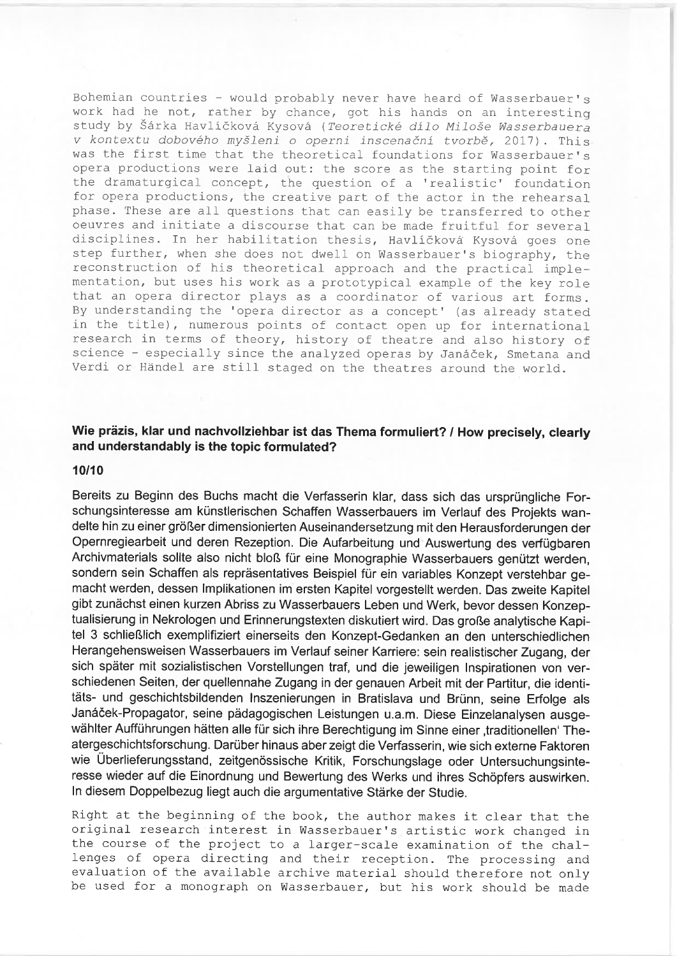Bohemian countries - would probably never have heard of Wasserbauer's work had he not, rather by chance, got his hands on an interesting study by Šárka Havlíčková Kysová (Teoretické dílo Miloše Wasserbauera v kontextu dobového myšleni o operni inscenační tvorbě, 2017). This was the first time that the theoretical foundations for Wasserbauer's opera productions were laid out: the score as the starting point for the dramaturgical concept, the question of a 'realistic' foundation for opera productions, the creative part of the actor in the rehearsal\_ phase. These are all questions that can easily be transferred to other oeuvres and initiate a discourse that can be made fruitful for several disciplines. In her habilitation thesis, Havlíčková Kysová goes one step further, when she does not dwell on Wasserbauer's biography, the reconstruction of his theoretical approach and the practical implementation, but uses his work as a prototypical example of the key role that an opera director plays as a coordinator of various art forms. By understanding the 'opera director as a concept' (as already stated in the title), numerous points of contact open up for international research in terms of theory, history of theatre and also history of science - especially since the analyzed operas by Janáček, Smetana and Verdi or Händel are still staged on the theatres around the world.

## Wie präzis, klar und nachvollziehbar ist das Thema formuliert? / How precisely, clearly and understandably is the topic formulated?

#### 10110

Bereits zu Beginn des Buchs macht die Verfasserin klar, dass sich das ursprüngliche Forschungsinteresse am künstlerischen Schaffen Wasserbauers im Verlauf des Projekts wandelte hin zu einer größer dimensionierten Auseinandersetzung mit den Herausforderungen der Opernregiearbeit und deren Rezeption. Die Aufarbeitung und Auswertung des verfügbaren Archivmaterials sollte also nicht bloß für eine Monographie Wasserbauers genützt werden, sondern sein Schaffen als repräsentatives Beispiel für ein variables Konzept verstehbar gemacht werden, dessen lmplikationen im ersten Kapitel vorgestellt werden. Das zweite Kapitel gibt zunächst einen kurzen Abriss zu Wasserbauers Leben und Werk, bevor dessen Konzeptualisierung in Nekrologen und Erinnerungstexten diskutiert wird. Das große analytische Kapitel 3 schließlich exemplifiziert einerseits den Konzept-Gedanken an den unterschiedlichen Herangehensweisen Wasserbauers im Verlauf seiner Karriere: sein realistischer Zugang, der sich später mit sozialistischen Vorstellungen traf, und die jeweiligen lnspirationen von verschiedenen Seiten, der quellennahe Zugang in der genauen Arbeit mit der Partitur, die identitäts- und geschichtsbildenden lnszenierungen in Bratislava und Brünn, seine Erfolge als Janäöek-Propagator, seine pädagogischen Leistungen u.a.m. Diese Einzelanalysen ausgewählter Aufführungen hätten alle für sich ihre Berechtigung im Sinne einer, traditionellen' Theatergeschichtsforschung. Darüber hinaus aber zeigt die Verfasserin, wie sich externe Faktoren wie Überlieferungsstand, zeitgenössische Kritik, Forschungslage oder Untersuchungsinteresse wieder auf die Einordnung und Bewertung des Werks und ihres Schöpfers auswirken. ln diesem Doppelbezug liegt auch die argumentative Stärke der Studie.

Right at the beginning of the book, the author makes it clear that the original research interest in Wasserbauer's artistic work changed in the course of the project to a larger-scale examination of the chal- lenges of opera directing and their reception. The processing and evaluation of the available archive material should therefore not only be used for a monograph on Wasserbauer, but his work should be made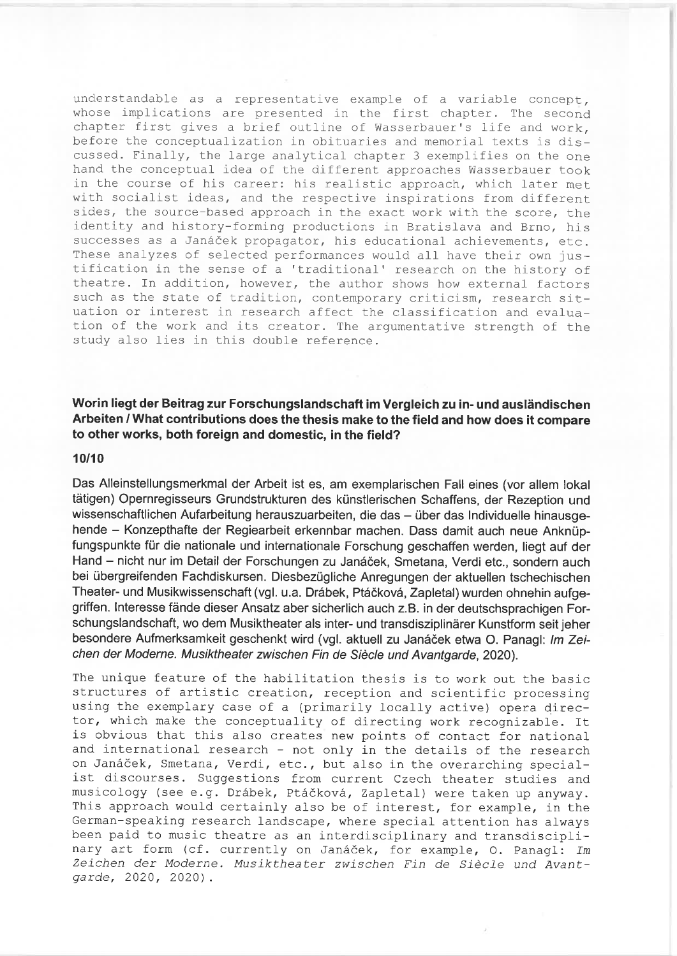understandable as a representative example of a variable concept, whose implications are presented in the first chapter. The second chapter first gives a brief outline of Wasserbauer's life and work, before the conceptualization in obituaries and memorial texts is discussed. Finally, the large analytical chapter 3 exemplifies on the one hand the conceptual idea of the different approaches Wasserbauer took in the course of his career: his realistic approach, which later met with socialist ideas, and the respective inspirations from different sides, the source-based approach in the exact work with the score, the identity and history-forming productions in Bratislava and Brno, his successes as a Janáček propagator, his educational achievements, etc. These analyzes of selected performances would all have their own justification in the sense of a 'traditional' research on the history of theatre. In addition, however, the author shows how external factors such as the state of tradition, contemporary criticism, research situation or interest in research affect the classification and evaluation of the work and its creator. The argumentative strength of the study also lies in this double reference.

## Worin liegt der Beitrag zur Forschungslandschaft im Vergleich zu in- und ausländischen Arbeiten / What contributions does the thesis make to the field and how does it compare to other works, both foreign and domestic, in the field?

#### 10/10

Das Alleinstellungsmerkmal der Arbeit ist es, am exemplarischen Fall eines (vor allem lokal tätigen) Opernregisseurs Grundstrukturen des künstlerischen Schaffens, der Rezeption und wissenschaftlichen Aufarbeitung herauszuarbeiten, die das - über das Individuelle hinausgehende - Konzepthafte der Regiearbeit erkennbar machen. Dass damit auch neue Anknüpfungspunkte für die nationale und internationale Forschung geschaffen werden, liegt auf der Hand - nicht nur im Detail der Forschungen zu Janáček, Smetana, Verdi etc., sondern auch bei übergreifenden Fachdiskursen. Diesbezügliche Anregungen der aktuellen tschechischen Theater- und Musikwissenschaft (vgl. u.a. Dräbek, Ptäökovä, Zapletal) wurden ohnehin aufgegriffen. lnteresse fände dieser Ansatz aber sicherlich auch z.B. in der deutschsprachigen Forschungslandschaft, wo dem Musiktheater als inter- und transdisziplinärer Kunstform seit jeher besondere Aufmerksamkeit geschenkt wird (vgl. aktuell zu Janáček etwa O. Panagl: Im Zeichen der Moderne. Musiktheater zwischen Fin de Siècle und Avantgarde, 2020).

The unique feature of the habilitation thesis is to work out the basic structures of artistic creation, reception and scientific processing using the exemplary case of a (primarily locally active) opera director, which make the conceptuality of directing work recognizable. It is obvious that this also creates new points of contact for national and international research - not only in the details of the research on Janáček, Smetana, Verdi, etc., but also in the overarching specialist discourses. Suggestions from current. Czech theater studies and musicology (see e.g. Drábek, Ptáčková, Zapletal) were taken up anyway. This approach would certainly also be of interest, for example, in the German-speaking research landscape, where special attention has always been paid to music theatre as an interdisciplinary and transdisciplinary art form (cf. currently on Janáček, for example, O. Panagl: Im Zeichen der Moderne. Musiktheater zwischen Fin de Siècle und Avant-<br>garde, 2020, 2020).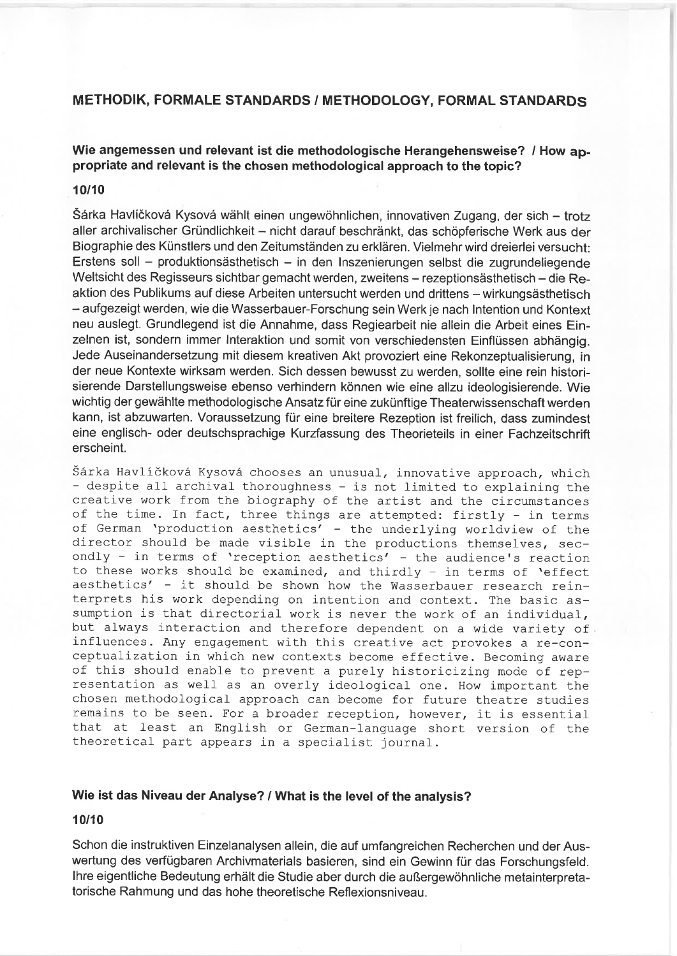## METHODIK, FORMALE STANDARDS / METHODOLOGY, FORMAL STANDARDS

Wie angemessen und relevant ist die methodologische Herangehensweise? / How appropriate and relevant is the chosen methodological approach to the topic?

#### 10110

Särta Havliökovä Kysovä wählt einen ungewöhnlichen, innovativen Zugang, der sich - trotz aller archivalischer Gründlichkeit - nicht darauf beschränkt, das schöpferische Werk aus der Biographie des Künstlers und den Zeitumständen zu erklären. Vielmehr wird dreierlei versucht: Erstens soll - produktionsästhetisch - in den Inszenierungen selbst die zugrundeliegende Weltsicht des Regisseurs sichtbar gemacht werden, zweitens - rezeptionsästhetisch - die Reaktion des Publikums auf diese Arbeiten untersucht werden und drittens - wirkungsästhetisch - aufgezeigt werden, wie die Wasserbauer-Forschung sein Werk je nach lntention und Kontext neu auslegt. Grundlegend ist die Annahme, dass Regiearbeit nie allein die Arbeit eines Einzelnen ist, sondern immer lnteraktion und somit von verschiedensten Einflüssen abhängig. Jede Auseinandersetzung mit diesem kreativen Akt provoziert eine Rekonzeptualisierung, in der neue Kontexte wirksam werden. Sich dessen bewusst zu werden, sollte eine rein historisierende Darstellungsweise ebenso verhindern können wie eine allzu ideologisierende. Wie wichtig der gewählte methodologische Ansatz für eine zukünftige Theateruvissenschaft werden kann, ist abzuwarten. Voraussetzung für eine breitere Rezeption ist freilich, dass zumindest eine englisch- oder deutschsprachige Kurzfassung des Theorieteils in einer Fachzeitschrift erscheint.

Šárka Havlíčková Kysová chooses an unusual, innovative approach, which - despite all archival thoroughness - is not limited to explaining the creative work from the biography of the artist and the circumstances of the time. In fact, three things are attempted: firstly - in terms of German 'production aesthetics' - the underlying worldview of the director should be made visible in the productions themselves, secondly - in terms of 'reception aesthetics' - the audience's reaction<br>to these works should be examined, and thirdly - in terms of 'effect aesthetics' - it should be shown how the Wasserbauer research reinterprets his work depending on intention and context. The basic assumption is that directorial work is never the work of an individual, but always interaction and therefore dependent on a wide variety of influences. Any engagement with this creative act provokes a re-conceptualization in which new contexts become effective. Becoming aware of this should enable to prevent a purely historicizing mode of representation as well as an overly ideological one. How important the chosen methodological approach can become for future theatre studies remains to be seen. For a broader reception, however, it is essential that at least an English or German-language short version of the theoretical part appears in a specialist journal.

## Wie ist das Niveau der Analyse? / What is the level of the analysis?

## 10/10

Schon die instruktiven Einzelanalysen allein, die auf umfangreichen Recherchen und der Auswertung des verfügbaren Archivmaterials basieren, sind ein Gewinn für das Forschungsfeld. lhre eigentliche Bedeutung erhält die Studie aber durch die außergewöhnliche metainterpretatorische Rahmung und das hohe theoretische Reflexionsniveau.